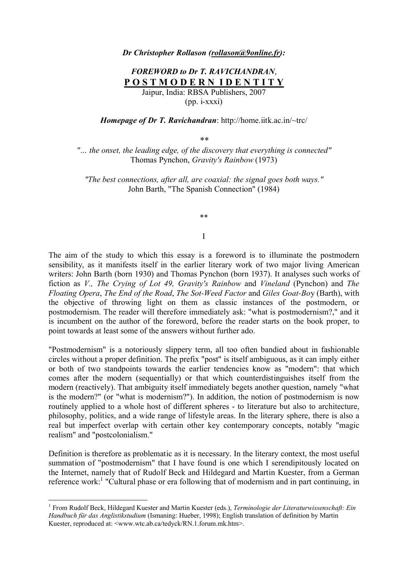## *Dr Christopher Rollason (rollason@9online.fr):*

# *FOREWORD to Dr T. RAVICHANDRAN*, **P O S T M O D E R N I D E N T I T Y** Jaipur, India: RBSA Publishers, 2007

 $(pp. i-xxxi)$ 

*Homepage of Dr T. Ravichandran*: http://home.iitk.ac.in/~trc/

*\*\**

*"… the onset, the leading edge, of the discovery that everything is connected"*  Thomas Pynchon, *Gravity's Rainbow* (1973)

*"The best connections, after all, are coaxial: the signal goes both ways."* John Barth, "The Spanish Connection" (1984)

\*\*

#### I

The aim of the study to which this essay is a foreword is to illuminate the postmodern sensibility, as it manifests itself in the earlier literary work of two major living American writers: John Barth (born 1930) and Thomas Pynchon (born 1937). It analyses such works of fiction as *V., The Crying of Lot 49, Gravity's Rainbow* and *Vineland* (Pynchon) and *The Floating Opera*, *The End of the Road*, *The Sot-Weed Factor* and *Giles Goat-Bo*y (Barth), with the objective of throwing light on them as classic instances of the postmodern, or postmodernism. The reader will therefore immediately ask: "what is postmodernism?," and it is incumbent on the author of the foreword, before the reader starts on the book proper, to point towards at least some of the answers without further ado.

"Postmodernism" is a notoriously slippery term, all too often bandied about in fashionable circles without a proper definition. The prefix "post" is itself ambiguous, as it can imply either or both of two standpoints towards the earlier tendencies know as "modern": that which comes after the modern (sequentially) or that which counterdistinguishes itself from the modern (reactively). That ambiguity itself immediately begets another question, namely "what is the modern?" (or "what is modernism?"). In addition, the notion of postmodernism is now routinely applied to a whole host of different spheres - to literature but also to architecture, philosophy, politics, and a wide range of lifestyle areas. In the literary sphere, there is also a real but imperfect overlap with certain other key contemporary concepts, notably "magic realism" and "postcolonialism."

Definition is therefore as problematic as it is necessary. In the literary context, the most useful summation of "postmodernism" that I have found is one which I serendipitously located on the Internet, namely that of Rudolf Beck and Hildegard and Martin Kuester, from a German reference work:<sup>1</sup> "Cultural phase or era following that of modernism and in part continuing, in

<sup>&</sup>lt;sup>1</sup> From Rudolf Beck, Hildegard Kuester and Martin Kuester (eds.), *Terminologie der Literaturwissenschaft: Ein Handbuch für das Anglistikstudium* (Ismaning: Hueber, 1998); English translation of definition by Martin Kuester, reproduced at: <www.wtc.ab.ca/tedyck/RN.1.forum.mk.htm>.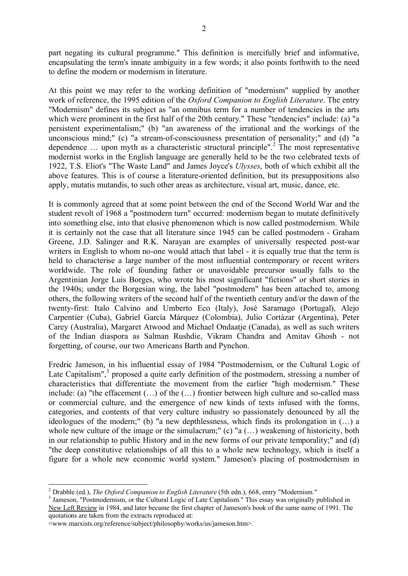part negating its cultural programme." This definition is mercifully brief and informative, encapsulating the term's innate ambiguity in a few words; it also points forthwith to the need to define the modern or modernism in literature.

At this point we may refer to the working definition of "modernism" supplied by another work of reference, the 1995 edition of the *Oxford Companion to English Literature*. The entry "Modernism" defines its subject as "an omnibus term for a number of tendencies in the arts which were prominent in the first half of the 20th century." These "tendencies" include: (a) "a persistent experimentalism;" (b) "an awareness of the irrational and the workings of the unconscious mind;" (c) "a stream-of-consciousness presentation of personality;" and (d) "a dependence  $\dots$  upon myth as a characteristic structural principle".<sup>2</sup> The most representative modernist works in the English language are generally held to be the two celebrated texts of 1922, T.S. Eliot's "The Waste Land" and James Joyce's *Ulysses*, both of which exhibit all the above features. This is of course a literature-oriented definition, but its presuppositions also apply, mutatis mutandis, to such other areas as architecture, visual art, music, dance, etc.

It is commonly agreed that at some point between the end of the Second World War and the student revolt of 1968 a "postmodern turn" occurred: modernism began to mutate definitively into something else, into that elusive phenomenon which is now called postmodernism. While it is certainly not the case that all literature since 1945 can be called postmodern - Graham Greene, J.D. Salinger and R.K. Narayan are examples of universally respected post-war writers in English to whom no-one would attach that label - it is equally true that the term is held to characterise a large number of the most influential contemporary or recent writers worldwide. The role of founding father or unavoidable precursor usually falls to the Argentinian Jorge Luis Borges, who wrote his most significant "fictions" or short stories in the 1940s; under the Borgesian wing, the label "postmodern" has been attached to, among others, the following writers of the second half of the twentieth century and/or the dawn of the twenty-first: Italo Calvino and Umberto Eco (Italy), José Saramago (Portugal), Alejo Carpentier (Cuba), Gabriel García Márquez (Colombia), Julio Cortázar (Argentina), Peter Carey (Australia), Margaret Atwood and Michael Ondaatje (Canada), as well as such writers of the Indian diaspora as Salman Rushdie, Vikram Chandra and Amitav Ghosh - not forgetting, of course, our two Americans Barth and Pynchon.

Fredric Jameson, in his influential essay of 1984 "Postmodernism, or the Cultural Logic of Late Capitalism", $3$  proposed a quite early definition of the postmodern, stressing a number of characteristics that differentiate the movement from the earlier "high modernism." These include: (a) "the effacement (…) of the (…) frontier between high culture and so-called mass or commercial culture, and the emergence of new kinds of texts infused with the forms, categories, and contents of that very culture industry so passionately denounced by all the ideologues of the modern;" (b) "a new depthlessness, which finds its prolongation in (…) a whole new culture of the image or the simulacrum;" (c) "a (...) weakening of historicity, both in our relationship to public History and in the new forms of our private temporality;" and (d) "the deep constitutive relationships of all this to a whole new technology, which is itself a figure for a whole new economic world system." Jameson's placing of postmodernism in

<sup>2</sup> Drabble (ed.), *The Oxford Companion to English Literature* (5th edn.), 668, entry "Modernism."

<sup>&</sup>lt;sup>3</sup> Jameson, "Postmodernism, or the Cultural Logic of Late Capitalism." This essay was originally published in New Left Review in 1984, and later became the first chapter of Jameson's book of the same name of 1991. The quotations are taken from the extracts reproduced at:

<sup>&</sup>lt;www.marxists.org/reference/subject/philosophy/works/us/jameson.htm>.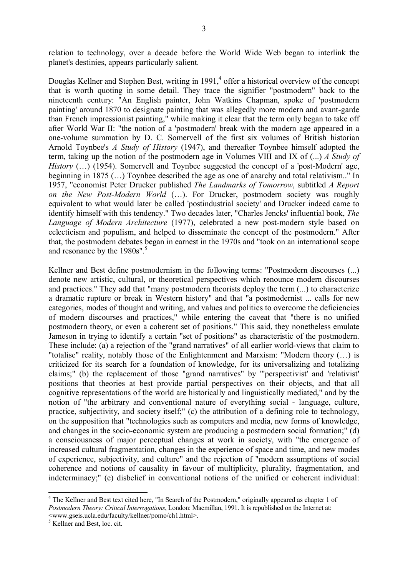relation to technology, over a decade before the World Wide Web began to interlink the planet's destinies, appears particularly salient.

Douglas Kellner and Stephen Best, writing in 1991,<sup>4</sup> offer a historical overview of the concept that is worth quoting in some detail. They trace the signifier "postmodern" back to the nineteenth century: "An English painter, John Watkins Chapman, spoke of 'postmodern painting' around 1870 to designate painting that was allegedly more modern and avant-garde than French impressionist painting," while making it clear that the term only began to take off after World War II: "the notion of a 'postmodern' break with the modern age appeared in a one-volume summation by D. C. Somervell of the first six volumes of British historian Arnold Toynbee's *A Study of History* (1947), and thereafter Toynbee himself adopted the term, taking up the notion of the postmodern age in Volumes VIII and IX of (...) *A Study of History* (...) (1954). Somervell and Toynbee suggested the concept of a 'post-Modern' age, beginning in 1875 (…) Toynbee described the age as one of anarchy and total relativism.." In 1957, "economist Peter Drucker published *The Landmarks of Tomorrow*, subtitled *A Report on the New Post-Modern World* (…). For Drucker, postmodern society was roughly equivalent to what would later be called 'postindustrial society' and Drucker indeed came to identify himself with this tendency." Two decades later, "Charles Jencks' influential book, *The Language of Modern Architecture* (1977), celebrated a new post-modern style based on eclecticism and populism, and helped to disseminate the concept of the postmodern." After that, the postmodern debates began in earnest in the 1970s and "took on an international scope and resonance by the 1980s".<sup>5</sup>

Kellner and Best define postmodernism in the following terms: "Postmodern discourses (...) denote new artistic, cultural, or theoretical perspectives which renounce modern discourses and practices." They add that "many postmodern theorists deploy the term (...) to characterize a dramatic rupture or break in Western history" and that "a postmodernist ... calls for new categories, modes of thought and writing, and values and politics to overcome the deficiencies of modern discourses and practices," while entering the caveat that "there is no unified postmodern theory, or even a coherent set of positions." This said, they nonetheless emulate Jameson in trying to identify a certain "set of positions" as characteristic of the postmodern. These include: (a) a rejection of the "grand narratives" of all earlier world-views that claim to "totalise" reality, notably those of the Enlightenment and Marxism: "Modern theory (…) is criticized for its search for a foundation of knowledge, for its universalizing and totalizing claims;" (b) the replacement of those "grand narratives" by "'perspectivist' and 'relativist' positions that theories at best provide partial perspectives on their objects, and that all cognitive representations of the world are historically and linguistically mediated," and by the notion of "the arbitrary and conventional nature of everything social - language, culture, practice, subjectivity, and society itself;" (c) the attribution of a defining role to technology, on the supposition that "technologies such as computers and media, new forms of knowledge, and changes in the socio-economic system are producing a postmodern social formation;" (d) a consciousness of major perceptual changes at work in society, with "the emergence of increased cultural fragmentation, changes in the experience of space and time, and new modes of experience, subjectivity, and culture" and the rejection of "modern assumptions of social coherence and notions of causality in favour of multiplicity, plurality, fragmentation, and indeterminacy;" (e) disbelief in conventional notions of the unified or coherent individual:

<sup>&</sup>lt;sup>4</sup> The Kellner and Best text cited here, "In Search of the Postmodern," originally appeared as chapter 1 of *Postmodern Theory: Critical Interrogations*, London: Macmillan, 1991. It is republished on the Internet at: <www.gseis.ucla.edu/faculty/kellner/pomo/ch1.html>.

<sup>5</sup> Kellner and Best, loc. cit.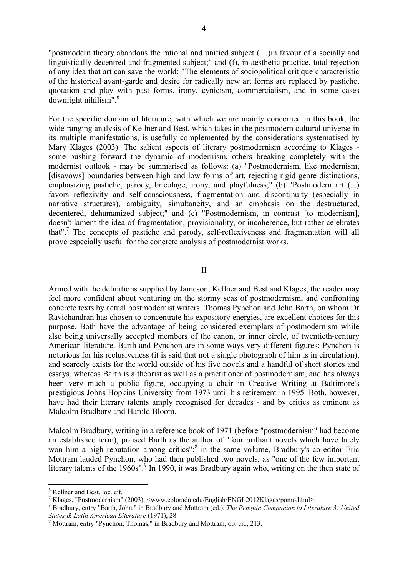"postmodern theory abandons the rational and unified subject (…)in favour of a socially and linguistically decentred and fragmented subject;" and (f), in aesthetic practice, total rejection of any idea that art can save the world: "The elements of sociopolitical critique characteristic of the historical avant-garde and desire for radically new art forms are replaced by pastiche, quotation and play with past forms, irony, cynicism, commercialism, and in some cases downright nihilism".<sup>6</sup>

For the specific domain of literature, with which we are mainly concerned in this book, the wide-ranging analysis of Kellner and Best, which takes in the postmodern cultural universe in its multiple manifestations, is usefully complemented by the considerations systematised by Mary Klages (2003). The salient aspects of literary postmodernism according to Klages some pushing forward the dynamic of modernism, others breaking completely with the modernist outlook - may be summarised as follows: (a) "Postmodernism, like modernism, [disavows] boundaries between high and low forms of art, rejecting rigid genre distinctions, emphasizing pastiche, parody, bricolage, irony, and playfulness;" (b) "Postmodern art (...) favors reflexivity and self-consciousness, fragmentation and discontinuity (especially in narrative structures), ambiguity, simultaneity, and an emphasis on the destructured, decentered, dehumanized subject;" and (c) "Postmodernism, in contrast [to modernism], doesn't lament the idea of fragmentation, provisionality, or incoherence, but rather celebrates that".<sup>7</sup> The concepts of pastiche and parody, self-reflexiveness and fragmentation will all prove especially useful for the concrete analysis of postmodernist works.

II

Armed with the definitions supplied by Jameson, Kellner and Best and Klages, the reader may feel more confident about venturing on the stormy seas of postmodernism, and confronting concrete texts by actual postmodernist writers. Thomas Pynchon and John Barth, on whom Dr Ravichandran has chosen to concentrate his expository energies, are excellent choices for this purpose. Both have the advantage of being considered exemplars of postmodernism while also being universally accepted members of the canon, or inner circle, of twentieth-century American literature. Barth and Pynchon are in some ways very different figures: Pynchon is notorious for his reclusiveness (it is said that not a single photograph of him is in circulation), and scarcely exists for the world outside of his five novels and a handful of short stories and essays, whereas Barth is a theorist as well as a practitioner of postmodernism, and has always been very much a public figure, occupying a chair in Creative Writing at Baltimore's prestigious Johns Hopkins University from 1973 until his retirement in 1995. Both, however, have had their literary talents amply recognised for decades - and by critics as eminent as Malcolm Bradbury and Harold Bloom.

Malcolm Bradbury, writing in a reference book of 1971 (before "postmodernism" had become an established term), praised Barth as the author of "four brilliant novels which have lately won him a high reputation among critics";<sup>8</sup> in the same volume, Bradbury's co-editor Eric Mottram lauded Pynchon, who had then published two novels, as "one of the few important literary talents of the 1960s".<sup>9</sup> In 1990, it was Bradbury again who, writing on the then state of

<sup>6</sup> Kellner and Best, loc. cit.

<sup>7</sup> Klages, "Postmodernism" (2003), <www.colorado.edu/English/ENGL2012Klages/pomo.html>.

<sup>8</sup> Bradbury, entry "Barth, John," in Bradbury and Mottram (ed.), *The Penguin Companion to Literature 3: United States & Latin American Literature* (1971), 28.

<sup>9</sup> Mottram, entry "Pynchon, Thomas," in Bradbury and Mottram, op. cit., 213.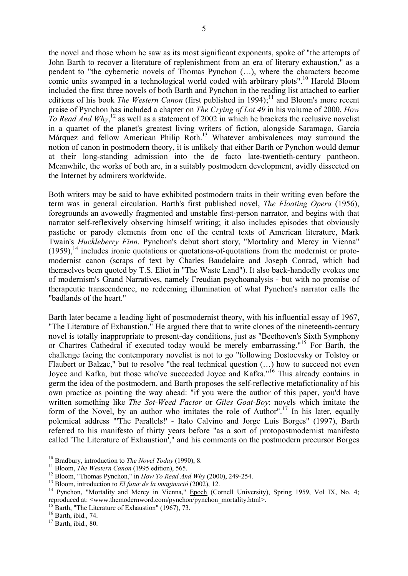the novel and those whom he saw as its most significant exponents, spoke of "the attempts of John Barth to recover a literature of replenishment from an era of literary exhaustion," as a pendent to "the cybernetic novels of Thomas Pynchon (…), where the characters become comic units swamped in a technological world coded with arbitrary plots".<sup>10</sup> Harold Bloom included the first three novels of both Barth and Pynchon in the reading list attached to earlier editions of his book *The Western Canon* (first published in 1994);<sup>11</sup> and Bloom's more recent praise of Pynchon has included a chapter on *The Crying of Lot 49* in his volume of 2000, *How*  To Read And Why,<sup>12</sup> as well as a statement of 2002 in which he brackets the reclusive novelist in a quartet of the planet's greatest living writers of fiction, alongside Saramago, García Márquez and fellow American Philip Roth.<sup>13</sup> Whatever ambivalences may surround the notion of canon in postmodern theory, it is unlikely that either Barth or Pynchon would demur at their long-standing admission into the de facto late-twentieth-century pantheon. Meanwhile, the works of both are, in a suitably postmodern development, avidly dissected on the Internet by admirers worldwide.

Both writers may be said to have exhibited postmodern traits in their writing even before the term was in general circulation. Barth's first published novel, *The Floating Opera* (1956), foregrounds an avowedly fragmented and unstable first-person narrator, and begins with that narrator self-reflexively observing himself writing; it also includes episodes that obviously pastiche or parody elements from one of the central texts of American literature, Mark Twain's *Huckleberry Finn*. Pynchon's debut short story, "Mortality and Mercy in Vienna"  $(1959)$ ,<sup>14</sup> includes ironic quotations or quotations-of-quotations from the modernist or protomodernist canon (scraps of text by Charles Baudelaire and Joseph Conrad, which had themselves been quoted by T.S. Eliot in "The Waste Land"). It also back-handedly evokes one of modernism's Grand Narratives, namely Freudian psychoanalysis - but with no promise of therapeutic transcendence, no redeeming illumination of what Pynchon's narrator calls the "badlands of the heart."

Barth later became a leading light of postmodernist theory, with his influential essay of 1967, "The Literature of Exhaustion." He argued there that to write clones of the nineteenth-century novel is totally inappropriate to present-day conditions, just as "Beethoven's Sixth Symphony or Chartres Cathedral if executed today would be merely embarrassing."<sup>15</sup> For Barth, the challenge facing the contemporary novelist is not to go "following Dostoevsky or Tolstoy or Flaubert or Balzac," but to resolve "the real technical question (…) how to succeed not even Joyce and Kafka, but those who've succeeded Joyce and Kafka."<sup>16</sup> This already contains in germ the idea of the postmodern, and Barth proposes the self-reflective metafictionality of his own practice as pointing the way ahead: "if you were the author of this paper, you'd have written something like *The Sot-Weed Factor* or *Giles Goat-Boy*: novels which imitate the form of the Novel, by an author who imitates the role of Author".<sup>17</sup> In his later, equally polemical address "'The Parallels!' - Italo Calvino and Jorge Luis Borges" (1997), Barth referred to his manifesto of thirty years before "as a sort of protopostmodernist manifesto called 'The Literature of Exhaustion'," and his comments on the postmodern precursor Borges

<sup>10</sup> Bradbury, introduction to *The Novel Today* (1990), 8.

<sup>&</sup>lt;sup>11</sup> Bloom, *The Western Canon* (1995 edition), 565.

<sup>12</sup> Bloom, "Thomas Pynchon," in *How To Read And Why* (2000), 249-254.

<sup>13</sup> Bloom, introduction to *El futur de la imaginació* (2002), 12.

<sup>&</sup>lt;sup>14</sup> Pynchon, "Mortality and Mercy in Vienna," Epoch (Cornell University), Spring 1959, Vol IX, No. 4; reproduced at: <www.themodernword.com/pynchon/pynchon\_mortality.html>.

<sup>&</sup>lt;sup>15</sup> Barth, "The Literature of Exhaustion" (1967), 73.

<sup>16</sup> Barth, ibid., 74.

 $17$  Barth, ibid., 80.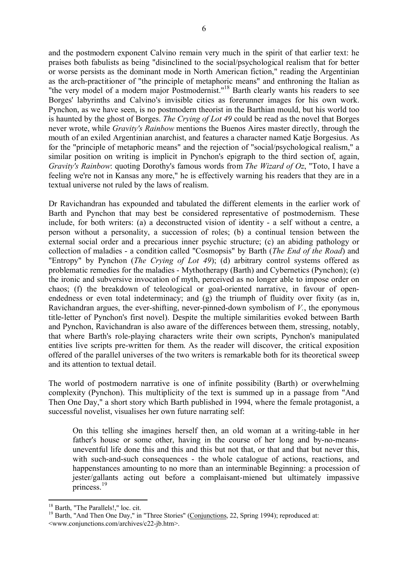and the postmodern exponent Calvino remain very much in the spirit of that earlier text: he praises both fabulists as being "disinclined to the social/psychological realism that for better or worse persists as the dominant mode in North American fiction," reading the Argentinian as the arch-practitioner of "the principle of metaphoric means" and enthroning the Italian as "the very model of a modern major Postmodernist."<sup>18</sup> Barth clearly wants his readers to see Borges' labyrinths and Calvino's invisible cities as forerunner images for his own work. Pynchon, as we have seen, is no postmodern theorist in the Barthian mould, but his world too is haunted by the ghost of Borges. *The Crying of Lot 49* could be read as the novel that Borges never wrote, while *Gravity's Rainbow* mentions the Buenos Aires master directly, through the mouth of an exiled Argentinian anarchist, and features a character named Katie Borgesius. As for the "principle of metaphoric means" and the rejection of "social/psychological realism," a similar position on writing is implicit in Pynchon's epigraph to the third section of, again, *Gravity's Rainbow*: quoting Dorothy's famous words from *The Wizard of Oz*, "Toto, I have a feeling we're not in Kansas any more," he is effectively warning his readers that they are in a textual universe not ruled by the laws of realism.

Dr Ravichandran has expounded and tabulated the different elements in the earlier work of Barth and Pynchon that may best be considered representative of postmodernism. These include, for both writers: (a) a deconstructed vision of identity - a self without a centre, a person without a personality, a succession of roles; (b) a continual tension between the external social order and a precarious inner psychic structure; (c) an abiding pathology or collection of maladies - a condition called "Cosmopsis" by Barth (*The End of the Road*) and "Entropy" by Pynchon (*The Crying of Lot 49*); (d) arbitrary control systems offered as problematic remedies for the maladies - Mythotherapy (Barth) and Cybernetics (Pynchon); (e) the ironic and subversive invocation of myth, perceived as no longer able to impose order on chaos; (f) the breakdown of teleological or goal-oriented narrative, in favour of openendedness or even total indeterminacy; and (g) the triumph of fluidity over fixity (as in, Ravichandran argues, the ever-shifting, never-pinned-down symbolism of *V.*, the eponymous title-letter of Pynchon's first novel). Despite the multiple similarities evoked between Barth and Pynchon, Ravichandran is also aware of the differences between them, stressing, notably, that where Barth's role-playing characters write their own scripts, Pynchon's manipulated entities live scripts pre-written for them. As the reader will discover, the critical exposition offered of the parallel universes of the two writers is remarkable both for its theoretical sweep and its attention to textual detail.

The world of postmodern narrative is one of infinite possibility (Barth) or overwhelming complexity (Pynchon). This multiplicity of the text is summed up in a passage from "And Then One Day," a short story which Barth published in 1994, where the female protagonist, a successful novelist, visualises her own future narrating self:

On this telling she imagines herself then, an old woman at a writing-table in her father's house or some other, having in the course of her long and by-no-meansuneventful life done this and this and this but not that, or that and that but never this, with such-and-such consequences - the whole catalogue of actions, reactions, and happenstances amounting to no more than an interminable Beginning: a procession of jester/gallants acting out before a complaisant-miened but ultimately impassive princess.<sup>19</sup>

<sup>&</sup>lt;sup>18</sup> Barth, "The Parallels!," loc. cit.

<sup>&</sup>lt;sup>19</sup> Barth, "And Then One Day," in "Three Stories" (Conjunctions, 22, Spring 1994); reproduced at: <www.conjunctions.com/archives/c22-jb.htm>.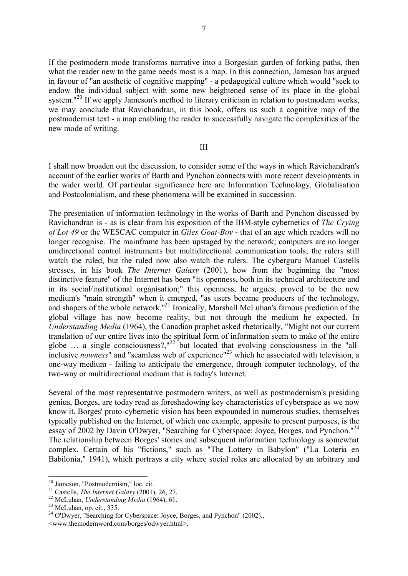If the postmodern mode transforms narrative into a Borgesian garden of forking paths, then what the reader new to the game needs most is a map. In this connection, Jameson has argued in favour of "an aesthetic of cognitive mapping" - a pedagogical culture which would "seek to endow the individual subject with some new heightened sense of its place in the global system."<sup>20</sup> If we apply Jameson's method to literary criticism in relation to postmodern works, we may conclude that Ravichandran, in this book, offers us such a cognitive map of the postmodernist text - a map enabling the reader to successfully navigate the complexities of the new mode of writing.

## III

I shall now broaden out the discussion, to consider some of the ways in which Ravichandran's account of the earlier works of Barth and Pynchon connects with more recent developments in the wider world. Of particular significance here are Information Technology, Globalisation and Postcolonialism, and these phenomena will be examined in succession.

The presentation of information technology in the works of Barth and Pynchon discussed by Ravichandran is - as is clear from his exposition of the IBM-style cybernetics of *The Crying of Lot 49* or the WESCAC computer in *Giles Goat-Boy* - that of an age which readers will no longer recognise. The mainframe has been upstaged by the network; computers are no longer unidirectional control instruments but multidirectional communication tools; the rulers still watch the ruled, but the ruled now also watch the rulers. The cyberguru Manuel Castells stresses, in his book *The Internet Galaxy* (2001), how from the beginning the "most distinctive feature" of the Internet has been "its openness, both in its technical architecture and in its social/institutional organisation;" this openness, he argues, proved to be the new medium's "main strength" when it emerged, "as users became producers of the technology, and shapers of the whole network."<sup>21</sup> Ironically, Marshall McLuhan's famous prediction of the global village has now become reality, but not through the medium he expected. In *Understanding Media* (1964), the Canadian prophet asked rhetorically, "Might not our current translation of our entire lives into the spiritual form of information seem to make of the entire globe  $\ldots$  a single consciousness?,"<sup>22</sup> but located that evolving consciousness in the "allinclusive *nowness*" and "seamless web of experience"<sup>23</sup> which he associated with television, a one-way medium - failing to anticipate the emergence, through computer technology, of the two-way or multidirectional medium that is today's Internet.

Several of the most representative postmodern writers, as well as postmodernism's presiding genius, Borges, are today read as foreshadowing key characteristics of cyberspace as we now know it. Borges' proto-cybernetic vision has been expounded in numerous studies, themselves typically published on the Internet, of which one example, apposite to present purposes, is the essay of 2002 by Davin O'Dwyer, "Searching for Cyberspace: Joyce, Borges, and Pynchon."<sup>24</sup> The relationship between Borges' stories and subsequent information technology is somewhat complex. Certain of his "fictions," such as "The Lottery in Babylon" ("La Lotería en Babilonia," 1941), which portrays a city where social roles are allocated by an arbitrary and

<sup>20</sup> Jameson, "Postmodernism," loc. cit.

<sup>21</sup> Castells, *The Internet Galaxy* (2001), 26, 27.

<sup>22</sup> McLuhan, *Understanding Media* (1964), 61.

<sup>&</sup>lt;sup>23</sup> McLuhan, op. cit., 335.

<sup>&</sup>lt;sup>24</sup> O'Dwyer, "Searching for Cyberspace: Joyce, Borges, and Pynchon" (2002)., <www.themodernword.com/borges/odwyer.html>.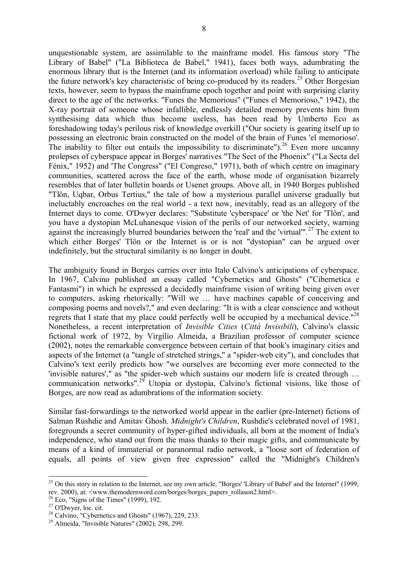unquestionable system, are assimilable to the mainframe model. His famous story "The Library of Babel" ("La Biblioteca de Babel," 1941), faces both ways, adumbrating the enormous library that is the Internet (and its information overload) while failing to anticipate the future network's key characteristic of being co-produced by its readers.<sup>25</sup> Other Borgesian texts, however, seem to bypass the mainframe epoch together and point with surprising clarity direct to the age of the networks. "Funes the Memorious" ("Funes el Memorioso," 1942), the X-ray portrait of someone whose infallible, endlessly detailed memory prevents him from synthesising data which thus become useless, has been read by Umberto Eco as foreshadowing today's perilous risk of knowledge overkill ("Our society is gearing itself up to possessing an electronic brain constructed on the model of the brain of Funes 'el memorioso'. The inability to filter out entails the impossibility to discriminate"). <sup>26</sup> Even more uncanny prolepses of cyberspace appear in Borges' narratives "The Sect of the Phoenix" ("La Secta del Fénix," 1952) and 'The Congress" ("El Congreso," 1971), both of which centre on imaginary communities, scattered across the face of the earth, whose mode of organisation bizarrely resembles that of later bulletin boards or Usenet groups. Above all, in 1940 Borges published "Tlön, Uqbar, Orbus Tertius," the tale of how a mysterious parallel universe gradually but ineluctably encroaches on the real world - a text now, inevitably, read as an allegory of the Internet days to come. O'Dwyer declares: "Substitute 'cyberspace' or 'the Net' for 'Tlön', and you have a dystopian McLuhanesque vision of the perils of our networked society, warning against the increasingly blurred boundaries between the 'real' and the 'virtual'".<sup>27</sup> The extent to which either Borges' Tlön or the Internet is or is not "dystopian" can be argued over indefinitely, but the structural similarity is no longer in doubt.

The ambiguity found in Borges carries over into Italo Calvino's anticipations of cyberspace. In 1967, Calvino published an essay called "Cybernetics and Ghosts" ("Cibernetica e Fantasmi") in which he expressed a decidedly mainframe vision of writing being given over to computers, asking rhetorically: "Will we … have machines capable of conceiving and composing poems and novels?," and even declaring: "It is with a clear conscience and without regrets that I state that my place could perfectly well be occupied by a mechanical device." $^{28}$ Nonetheless, a recent interpretation of *Invisible Cities* (*Città Invisibili*), Calvino's classic fictional work of 1972, by Virgílio Almeida, a Brazilian professor of computer science (2002), notes the remarkable convergence between certain of that book's imaginary cities and aspects of the Internet (a "tangle of stretched strings," a "spider-web city"), and concludes that Calvino's text eerily predicts how "we ourselves are becoming ever more connected to the 'invisible natures'," as "the spider-web which sustains our modern life is created through … communication networks".<sup>29</sup> Utopia or dystopia, Calvino's fictional visions, like those of Borges, are now read as adumbrations of the information society.

Similar fast-forwardings to the networked world appear in the earlier (pre-Internet) fictions of Salman Rushdie and Amitav Ghosh. *Midnight's Children*, Rushdie's celebrated novel of 1981, foregrounds a secret community of hyper-gifted individuals, all born at the moment of India's independence, who stand out from the mass thanks to their magic gifts, and communicate by means of a kind of immaterial or paranormal radio network, a "loose sort of federation of equals, all points of view given free expression" called the "Midnight's Children's

 $25$  On this story in relation to the Internet, see my own article, "Borges' 'Library of Babel' and the Internet" (1999, rev. 2000), at: <www.themodernword.com/borges/borges\_papers\_rollason2.html>.

 $26$  Eco, "Signs of the Times" (1999), 192.

<sup>27</sup> O'Dwyer, loc. cit.

 $28$  Calvino, "Cybernetics and Ghosts" (1967), 229, 233.

<sup>29</sup> Almeida, "Invisible Natures" (2002), 298, 299.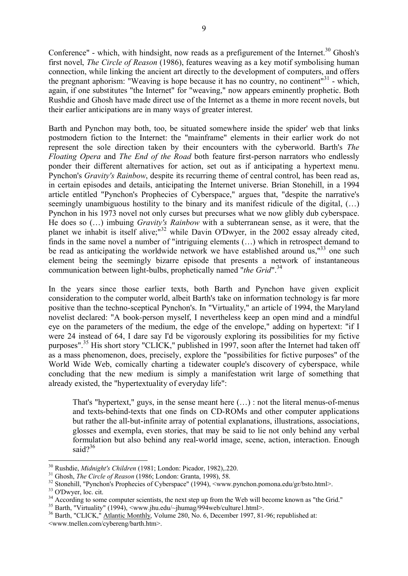Conference" - which, with hindsight, now reads as a prefigurement of the Internet.<sup>30</sup> Ghosh's first novel, *The Circle of Reason* (1986), features weaving as a key motif symbolising human connection, while linking the ancient art directly to the development of computers, and offers the pregnant aphorism: "Weaving is hope because it has no country, no continent"<sup>31</sup> - which, again, if one substitutes "the Internet" for "weaving," now appears eminently prophetic. Both Rushdie and Ghosh have made direct use of the Internet as a theme in more recent novels, but their earlier anticipations are in many ways of greater interest.

Barth and Pynchon may both, too, be situated somewhere inside the spider' web that links postmodern fiction to the Internet: the "mainframe" elements in their earlier work do not represent the sole direction taken by their encounters with the cyberworld. Barth's *The Floating Opera* and *The End of the Road* both feature first-person narrators who endlessly ponder their different alternatives for action, set out as if anticipating a hypertext menu. Pynchon's *Gravity's Rainbow*, despite its recurring theme of central control, has been read as, in certain episodes and details, anticipating the Internet universe. Brian Stonehill, in a 1994 article entitled "Pynchon's Prophecies of Cyberspace," argues that, "despite the narrative's seemingly unambiguous hostility to the binary and its manifest ridicule of the digital, (…) Pynchon in his 1973 novel not only curses but precurses what we now glibly dub cyberspace. He does so (…) imbuing *Gravity's Rainbow* with a subterranean sense, as it were, that the planet we inhabit is itself alive;<sup>"32</sup> while Davin O'Dwyer, in the 2002 essay already cited, finds in the same novel a number of "intriguing elements (…) which in retrospect demand to be read as anticipating the worldwide network we have established around us,<sup> $133$ </sup> one such element being the seemingly bizarre episode that presents a network of instantaneous communication between light-bulbs, prophetically named "*the Grid*".<sup>34</sup>

In the years since those earlier texts, both Barth and Pynchon have given explicit consideration to the computer world, albeit Barth's take on information technology is far more positive than the techno-sceptical Pynchon's. In "Virtuality," an article of 1994, the Maryland novelist declared: "A book-person myself, I nevertheless keep an open mind and a mindful eye on the parameters of the medium, the edge of the envelope," adding on hypertext: "if I were 24 instead of 64, I dare say I'd be vigorously exploring its possibilities for my fictive purposes".<sup>35</sup> His short story "CLICK," published in 1997, soon after the Internet had taken off as a mass phenomenon, does, precisely, explore the "possibilities for fictive purposes" of the World Wide Web, comically charting a tidewater couple's discovery of cyberspace, while concluding that the new medium is simply a manifestation writ large of something that already existed, the "hypertextuality of everyday life":

That's "hypertext," guys, in the sense meant here (…) : not the literal menus-of-menus and texts-behind-texts that one finds on CD-ROMs and other computer applications but rather the all-but-infinite array of potential explanations, illustrations, associations, glosses and exempla, even stories, that may be said to lie not only behind any verbal formulation but also behind any real-world image, scene, action, interaction. Enough said $2^{36}$ 

<sup>30</sup> Rushdie, *Midnight's Children* (1981; London: Picador, 1982),.220.

<sup>31</sup> Ghosh, *The Circle of Reason* (1986; London: Granta, 1998), 58.

<sup>&</sup>lt;sup>32</sup> Stonehill, "Pynchon's Prophecies of Cyberspace" (1994), <www.pynchon.pomona.edu/gr/bsto.html>.

<sup>33</sup> O'Dwyer, loc. cit.

<sup>&</sup>lt;sup>34</sup> According to some computer scientists, the next step up from the Web will become known as "the Grid."

<sup>35</sup> Barth, "Virtuality" (1994), <www.jhu.edu/~jhumag/994web/culture1.html>.

<sup>&</sup>lt;sup>36</sup> Barth, "CLICK," Atlantic Monthly, Volume 280, No. 6, December 1997, 81-96; republished at: <www.tnellen.com/cybereng/barth.htm>.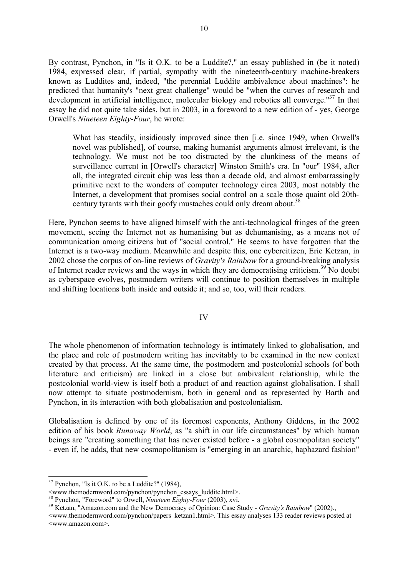By contrast, Pynchon, in "Is it O.K. to be a Luddite?," an essay published in (be it noted) 1984, expressed clear, if partial, sympathy with the nineteenth-century machine-breakers known as Luddites and, indeed, "the perennial Luddite ambivalence about machines": he predicted that humanity's "next great challenge" would be "when the curves of research and development in artificial intelligence, molecular biology and robotics all converge."<sup>37</sup> In that essay he did not quite take sides, but in 2003, in a foreword to a new edition of - yes, George Orwell's *Nineteen Eighty-Four*, he wrote:

What has steadily, insidiously improved since then [i.e. since 1949, when Orwell's novel was published], of course, making humanist arguments almost irrelevant, is the technology. We must not be too distracted by the clunkiness of the means of surveillance current in [Orwell's character] Winston Smith's era. In "our" 1984, after all, the integrated circuit chip was less than a decade old, and almost embarrassingly primitive next to the wonders of computer technology circa 2003, most notably the Internet, a development that promises social control on a scale those quaint old 20thcentury tyrants with their goofy mustaches could only dream about.<sup>38</sup>

Here, Pynchon seems to have aligned himself with the anti-technological fringes of the green movement, seeing the Internet not as humanising but as dehumanising, as a means not of communication among citizens but of "social control." He seems to have forgotten that the Internet is a two-way medium. Meanwhile and despite this, one cybercitizen, Eric Ketzan, in 2002 chose the corpus of on-line reviews of *Gravity's Rainbow* for a ground-breaking analysis of Internet reader reviews and the ways in which they are democratising criticism.<sup>39</sup> No doubt as cyberspace evolves, postmodern writers will continue to position themselves in multiple and shifting locations both inside and outside it; and so, too, will their readers.

IV

The whole phenomenon of information technology is intimately linked to globalisation, and the place and role of postmodern writing has inevitably to be examined in the new context created by that process. At the same time, the postmodern and postcolonial schools (of both literature and criticism) are linked in a close but ambivalent relationship, while the postcolonial world-view is itself both a product of and reaction against globalisation. I shall now attempt to situate postmodernism, both in general and as represented by Barth and Pynchon, in its interaction with both globalisation and postcolonialism.

Globalisation is defined by one of its foremost exponents, Anthony Giddens, in the 2002 edition of his book *Runaway World*, as "a shift in our life circumstances" by which human beings are "creating something that has never existed before - a global cosmopolitan society" - even if, he adds, that new cosmopolitanism is "emerging in an anarchic, haphazard fashion"

 $37$  Pynchon, "Is it O.K. to be a Luddite?" (1984),

 $\leq$ www.themodernword.com/pynchon/pynchon\_essays\_luddite.html>.

<sup>38</sup> Pynchon, "Foreword" to Orwell, *Nineteen Eighty-Four* (2003), xvi.

<sup>39</sup> Ketzan, "Amazon.com and the New Democracy of Opinion: Case Study - *Gravity's Rainbow*" (2002).,

<sup>&</sup>lt;www.themodernword.com/pynchon/papers\_ketzan1.html>. This essay analyses 133 reader reviews posted at <www.amazon.com>.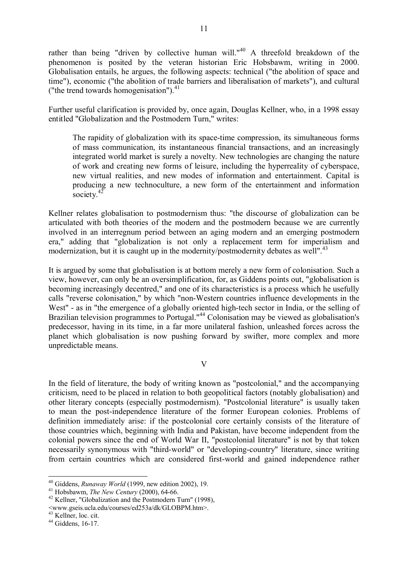rather than being "driven by collective human will."<sup>40</sup> A threefold breakdown of the phenomenon is posited by the veteran historian Eric Hobsbawm, writing in 2000. Globalisation entails, he argues, the following aspects: technical ("the abolition of space and time"), economic ("the abolition of trade barriers and liberalisation of markets"), and cultural ("the trend towards homogenisation"). $41$ 

Further useful clarification is provided by, once again, Douglas Kellner, who, in a 1998 essay entitled "Globalization and the Postmodern Turn," writes:

The rapidity of globalization with its space-time compression, its simultaneous forms of mass communication, its instantaneous financial transactions, and an increasingly integrated world market is surely a novelty. New technologies are changing the nature of work and creating new forms of leisure, including the hyperreality of cyberspace, new virtual realities, and new modes of information and entertainment. Capital is producing a new technoculture, a new form of the entertainment and information society.<sup>42</sup>

Kellner relates globalisation to postmodernism thus: "the discourse of globalization can be articulated with both theories of the modern and the postmodern because we are currently involved in an interregnum period between an aging modern and an emerging postmodern era," adding that "globalization is not only a replacement term for imperialism and modernization, but it is caught up in the modernity/postmodernity debates as well".<sup>43</sup>

It is argued by some that globalisation is at bottom merely a new form of colonisation. Such a view, however, can only be an oversimplification, for, as Giddens points out, "globalisation is becoming increasingly decentred," and one of its characteristics is a process which he usefully calls "reverse colonisation," by which "non-Western countries influence developments in the West" - as in "the emergence of a globally oriented high-tech sector in India, or the selling of Brazilian television programmes to Portugal."<sup>44</sup> Colonisation may be viewed as globalisation's predecessor, having in its time, in a far more unilateral fashion, unleashed forces across the planet which globalisation is now pushing forward by swifter, more complex and more unpredictable means.

V

In the field of literature, the body of writing known as "postcolonial," and the accompanying criticism, need to be placed in relation to both geopolitical factors (notably globalisation) and other literary concepts (especially postmodernism). "Postcolonial literature" is usually taken to mean the post-independence literature of the former European colonies. Problems of definition immediately arise: if the postcolonial core certainly consists of the literature of those countries which, beginning with India and Pakistan, have become independent from the colonial powers since the end of World War II, "postcolonial literature" is not by that token necessarily synonymous with "third-world" or "developing-country" literature, since writing from certain countries which are considered first-world and gained independence rather

<sup>40</sup> Giddens, *Runaway World* (1999, new edition 2002), 19.

<sup>41</sup> Hobsbawm, *The New Century* (2000), 64-66.

<sup>&</sup>lt;sup>42</sup> Kellner, "Globalization and the Postmodern Turn" (1998),

<sup>&</sup>lt;www.gseis.ucla.edu/courses/ed253a/dk/GLOBPM.htm>.

<sup>43</sup> Kellner, loc. cit.

<sup>44</sup> Giddens, 16-17.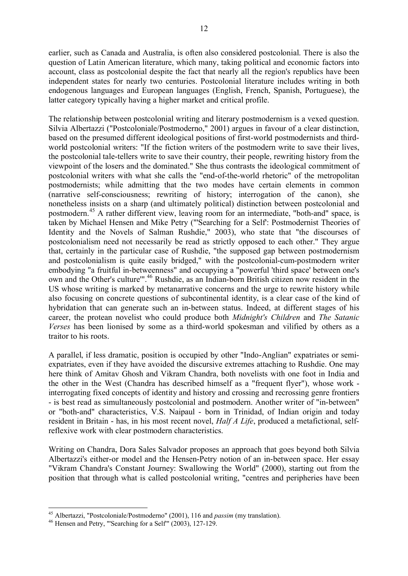earlier, such as Canada and Australia, is often also considered postcolonial. There is also the question of Latin American literature, which many, taking political and economic factors into account, class as postcolonial despite the fact that nearly all the region's republics have been independent states for nearly two centuries. Postcolonial literature includes writing in both endogenous languages and European languages (English, French, Spanish, Portuguese), the latter category typically having a higher market and critical profile.

The relationship between postcolonial writing and literary postmodernism is a vexed question. Silvia Albertazzi ("Postcoloniale/Postmoderno," 2001) argues in favour of a clear distinction, based on the presumed different ideological positions of first-world postmodernists and thirdworld postcolonial writers: "If the fiction writers of the postmodern write to save their lives, the postcolonial tale-tellers write to save their country, their people, rewriting history from the viewpoint of the losers and the dominated." She thus contrasts the ideological commitment of postcolonial writers with what she calls the "end-of-the-world rhetoric" of the metropolitan postmodernists; while admitting that the two modes have certain elements in common (narrative self-consciousness; rewriting of history; interrogation of the canon), she nonetheless insists on a sharp (and ultimately political) distinction between postcolonial and postmodern.<sup>45</sup> A rather different view, leaving room for an intermediate, "both-and" space, is taken by Michael Hensen and Mike Petry ("'Searching for a Self': Postmodernist Theories of Identity and the Novels of Salman Rushdie," 2003), who state that "the discourses of postcolonialism need not necessarily be read as strictly opposed to each other." They argue that, certainly in the particular case of Rushdie, "the supposed gap between postmodernism and postcolonialism is quite easily bridged," with the postcolonial-cum-postmodern writer embodying "a fruitful in-betweenness" and occupying a "powerful 'third space' between one's own and the Other's culture'".<sup>46</sup> Rushdie, as an Indian-born British citizen now resident in the US whose writing is marked by metanarrative concerns and the urge to rewrite history while also focusing on concrete questions of subcontinental identity, is a clear case of the kind of hybridation that can generate such an in-between status. Indeed, at different stages of his career, the protean novelist who could produce both *Midnight's Children* and *The Satanic Verses* has been lionised by some as a third-world spokesman and vilified by others as a traitor to his roots.

A parallel, if less dramatic, position is occupied by other "Indo-Anglian" expatriates or semiexpatriates, even if they have avoided the discursive extremes attaching to Rushdie. One may here think of Amitav Ghosh and Vikram Chandra, both novelists with one foot in India and the other in the West (Chandra has described himself as a "frequent flyer"), whose work interrogating fixed concepts of identity and history and crossing and recrossing genre frontiers - is best read as simultaneously postcolonial and postmodern. Another writer of "in-between" or "both-and" characteristics, V.S. Naipaul - born in Trinidad, of Indian origin and today resident in Britain - has, in his most recent novel, *Half A Life*, produced a metafictional, selfreflexive work with clear postmodern characteristics.

Writing on Chandra, Dora Sales Salvador proposes an approach that goes beyond both Silvia Albertazzi's either-or model and the Hensen-Petry notion of an in-between space. Her essay "Vikram Chandra's Constant Journey: Swallowing the World" (2000), starting out from the position that through what is called postcolonial writing, "centres and peripheries have been

<sup>45</sup> Albertazzi, "Postcoloniale/Postmoderno" (2001), 116 and *passim* (my translation).

<sup>&</sup>lt;sup>46</sup> Hensen and Petry, "'Searching for a Self"  $(2003)$ , 127-129.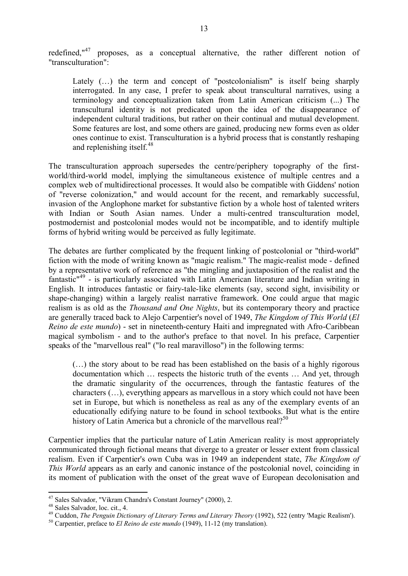redefined,"<sup>47</sup> proposes, as a conceptual alternative, the rather different notion of "transculturation":

Lately (...) the term and concept of "postcolonialism" is itself being sharply interrogated. In any case, I prefer to speak about transcultural narratives, using a terminology and conceptualization taken from Latin American criticism (...) The transcultural identity is not predicated upon the idea of the disappearance of independent cultural traditions, but rather on their continual and mutual development. Some features are lost, and some others are gained, producing new forms even as older ones continue to exist. Transculturation is a hybrid process that is constantly reshaping and replenishing itself.<sup>48</sup>

The transculturation approach supersedes the centre/periphery topography of the firstworld/third-world model, implying the simultaneous existence of multiple centres and a complex web of multidirectional processes. It would also be compatible with Giddens' notion of "reverse colonization," and would account for the recent, and remarkably successful, invasion of the Anglophone market for substantive fiction by a whole host of talented writers with Indian or South Asian names. Under a multi-centred transculturation model, postmodernist and postcolonial modes would not be incompatible, and to identify multiple forms of hybrid writing would be perceived as fully legitimate.

The debates are further complicated by the frequent linking of postcolonial or "third-world" fiction with the mode of writing known as "magic realism." The magic-realist mode - defined by a representative work of reference as "the mingling and juxtaposition of the realist and the fantastic<sup>"49</sup> - is particularly associated with Latin American literature and Indian writing in English. It introduces fantastic or fairy-tale-like elements (say, second sight, invisibility or shape-changing) within a largely realist narrative framework. One could argue that magic realism is as old as the *Thousand and One Nights*, but its contemporary theory and practice are generally traced back to Alejo Carpentier's novel of 1949, *The Kingdom of This World* (*El Reino de este mundo*) - set in nineteenth-century Haiti and impregnated with Afro-Caribbean magical symbolism - and to the author's preface to that novel. In his preface, Carpentier speaks of the "marvellous real" ("lo real maravilloso") in the following terms:

(…) the story about to be read has been established on the basis of a highly rigorous documentation which … respects the historic truth of the events … And yet, through the dramatic singularity of the occurrences, through the fantastic features of the characters (…), everything appears as marvellous in a story which could not have been set in Europe, but which is nonetheless as real as any of the exemplary events of an educationally edifying nature to be found in school textbooks. But what is the entire history of Latin America but a chronicle of the marvellous real?<sup>50</sup>

Carpentier implies that the particular nature of Latin American reality is most appropriately communicated through fictional means that diverge to a greater or lesser extent from classical realism. Even if Carpentier's own Cuba was in 1949 an independent state, *The Kingdom of This World* appears as an early and canonic instance of the postcolonial novel, coinciding in its moment of publication with the onset of the great wave of European decolonisation and

<sup>47</sup> Sales Salvador, "Vikram Chandra's Constant Journey" (2000), 2.

<sup>48</sup> Sales Salvador, loc. cit., 4.

<sup>49</sup> Cuddon, *The Penguin Dictionary of Literary Terms and Literary Theory* (1992), 522 (entry 'Magic Realism').

<sup>50</sup> Carpentier, preface to *El Reino de este mundo* (1949), 11-12 (my translation).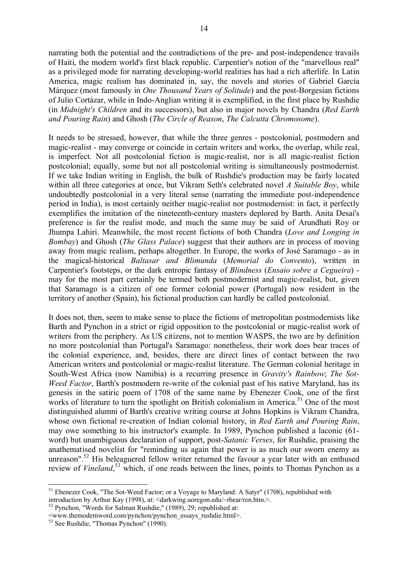narrating both the potential and the contradictions of the pre- and post-independence travails of Haiti, the modern world's first black republic. Carpentier's notion of the "marvellous real" as a privileged mode for narrating developing-world realities has had a rich afterlife. In Latin America, magic realism has dominated in, say, the novels and stories of Gabriel García Márquez (most famously in *One Thousand Years of Solitude*) and the post-Borgesian fictions of Julio Cortázar, while in Indo-Anglian writing it is exemplified, in the first place by Rushdie (in *Midnight's Children* and its successors), but also in major novels by Chandra (*Red Earth and Pouring Rain*) and Ghosh (*The Circle of Reason*, *The Calcutta Chromosome*).

It needs to be stressed, however, that while the three genres - postcolonial, postmodern and magic-realist - may converge or coincide in certain writers and works, the overlap, while real, is imperfect. Not all postcolonial fiction is magic-realist, nor is all magic-realist fiction postcolonial; equally, some but not all postcolonial writing is simultaneously postmodernist. If we take Indian writing in English, the bulk of Rushdie's production may be fairly located within all three categories at once, but Vikram Seth's celebrated novel *A Suitable Boy*, while undoubtedly postcolonial in a very literal sense (narrating the immediate post-independence period in India), is most certainly neither magic-realist nor postmodernist: in fact, it perfectly exemplifies the imitation of the nineteenth-century masters deplored by Barth. Anita Desai's preference is for the realist mode, and much the same may be said of Arundhati Roy or Jhumpa Lahiri. Meanwhile, the most recent fictions of both Chandra (*Love and Longing in Bombay*) and Ghosh (*The Glass Palace*) suggest that their authors are in process of moving away from magic realism, perhaps altogether. In Europe, the works of José Saramago - as in the magical-historical *Baltasar and Blimunda* (*Memorial do Convento*), written in Carpentier's footsteps, or the dark entropic fantasy of *Blindness* (*Ensaio sobre a Cegueira*) may for the most part certainly be termed both postmodernist and magic-realist, but, given that Saramago is a citizen of one former colonial power (Portugal) now resident in the territory of another (Spain), his fictional production can hardly be called postcolonial.

It does not, then, seem to make sense to place the fictions of metropolitan postmodernists like Barth and Pynchon in a strict or rigid opposition to the postcolonial or magic-realist work of writers from the periphery. As US citizens, not to mention WASPS, the two are by definition no more postcolonial than Portugal's Saramago: nonetheless, their work does bear traces of the colonial experience, and, besides, there are direct lines of contact between the two American writers and postcolonial or magic-realist literature. The German colonial heritage in South-West Africa (now Namibia) is a recurring presence in *Gravity's Rainbow*; *The Sot-Weed Factor*, Barth's postmodern re-write of the colonial past of his native Maryland, has its genesis in the satiric poem of 1708 of the same name by Ebenezer Cook, one of the first works of literature to turn the spotlight on British colonialism in America.<sup>51</sup> One of the most distinguished alumni of Barth's creative writing course at Johns Hopkins is Vikram Chandra, whose own fictional re-creation of Indian colonial history, in *Red Earth and Pouring Rain*, may owe something to his instructor's example. In 1989, Pynchon published a laconic (61 word) but unambiguous declaration of support, post-*Satanic Verses*, for Rushdie, praising the anathematised novelist for "reminding us again that power is as much our sworn enemy as unreason".<sup>52</sup> His beleaguered fellow writer returned the favour a year later with an enthused review of *Vineland*<sup>53</sup>, which, if one reads between the lines, points to Thomas Pynchon as a

<sup>&</sup>lt;sup>51</sup> Ebenezer Cook, "The Sot-Weed Factor; or a Voyage to Maryland: A Satyr" (1708), republished with introduction by Arthur Kay (1998), at: <darkwing.uoregon.edu/~rbear/ren.htm.>.

<sup>52</sup> Pynchon, "Words for Salman Rushdie," (1989), 29; republished at:

<sup>&</sup>lt;www.themodernword.com/pynchon/pynchon\_essays\_rushdie.html>.

<sup>53</sup> See Rushdie, "Thomas Pynchon" (1990).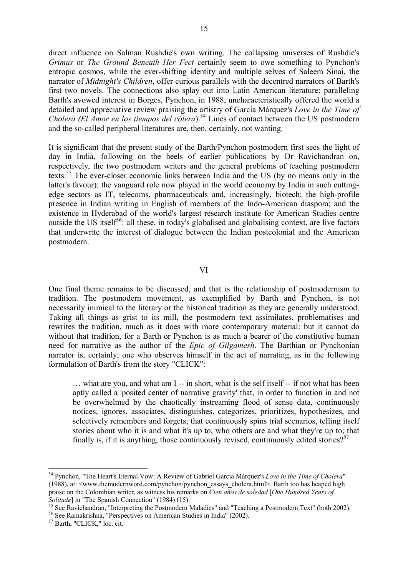direct influence on Salman Rushdie's own writing. The collapsing universes of Rushdie's *Grimus* or *The Ground Beneath Her Feet* certainly seem to owe something to Pynchon's entropic cosmos, while the ever-shifting identity and multiple selves of Saleem Sinai, the narrator of *Midnight's Children*, offer curious parallels with the decentred narrators of Barth's first two novels. The connections also splay out into Latin American literature: paralleling Barth's avowed interest in Borges, Pynchon, in 1988, uncharacteristically offered the world a detailed and appreciative review praising the artistry of García Márquez's *Love in the Time of Cholera (El Amor en los tiempos del cólera*).<sup>54</sup> Lines of contact between the US postmodern and the so-called peripheral literatures are, then, certainly, not wanting.

It is significant that the present study of the Barth/Pynchon postmodern first sees the light of day in India, following on the heels of earlier publications by Dr Ravichandran on, respectively, the two postmodern writers and the general problems of teaching postmodern texts.<sup>55</sup> The ever-closer economic links between India and the US (by no means only in the latter's favour); the vanguard role now played in the world economy by India in such cuttingedge sectors as IT, telecoms, pharmaceuticals and, increasingly, biotech; the high-profile presence in Indian writing in English of members of the Indo-American diaspora; and the existence in Hyderabad of the world's largest research institute for American Studies centre outside the US itself<sup>56</sup>: all these, in today's globalised and globalising context, are live factors that underwrite the interest of dialogue between the Indian postcolonial and the American postmodern.

### VI

One final theme remains to be discussed, and that is the relationship of postmodernism to tradition. The postmodern movement, as exemplified by Barth and Pynchon, is not necessarily inimical to the literary or the historical tradition as they are generally understood. Taking all things as grist to its mill, the postmodern text assimilates, problematises and rewrites the tradition, much as it does with more contemporary material: but it cannot do without that tradition, for a Barth or Pynchon is as much a bearer of the constitutive human need for narrative as the author of the *Epic of Gilgamesh*. The Barthian or Pynchonian narrator is, certainly, one who observes himself in the act of narrating, as in the following formulation of Barth's from the story "CLICK":

… what are you, and what am I -- in short, what is the self itself -- if not what has been aptly called a 'posited center of narrative gravity' that, in order to function in and not be overwhelmed by the chaotically instreaming flood of sense data, continuously notices, ignores, associates, distinguishes, categorizes, prioritizes, hypothesizes, and selectively remembers and forgets; that continuously spins trial scenarios, telling itself stories about who it is and what it's up to, who others are and what they're up to; that finally is, if it is anything, those continuously revised, continuously edited stories?<sup>57</sup>

<sup>54</sup> Pynchon, "The Heart's Eternal Vow: A Review of Gabriel García Márquez's *Love in the Time of Cholera*" (1988), at: <www.themodernword.com/pynchon/pynchon\_essays\_cholera.html>. Barth too has heaped high praise on the Colombian writer, as witness his remarks on *Cien años de soledad* [*One Hundred Years of Solitude*] in "The Spanish Connection" (1984) (15).

<sup>&</sup>lt;sup>55</sup> See Ravichandran, "Interpreting the Postmodern Maladies" and "Teaching a Postmodern Text" (both 2002).

<sup>56</sup> See Ramakrishna, "Perspectives on American Studies in India" (2002).

<sup>57</sup> Barth, "CLICK," loc. cit.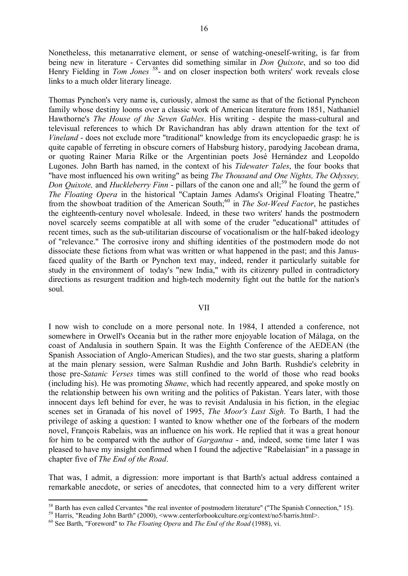Nonetheless, this metanarrative element, or sense of watching-oneself-writing, is far from being new in literature - Cervantes did something similar in *Don Quixote*, and so too did Henry Fielding in *Tom Jones*<sup>58</sup>- and on closer inspection both writers' work reveals close links to a much older literary lineage.

Thomas Pynchon's very name is, curiously, almost the same as that of the fictional Pyncheon family whose destiny looms over a classic work of American literature from 1851, Nathaniel Hawthorne's *The House of the Seven Gables*. His writing - despite the mass-cultural and televisual references to which Dr Ravichandran has ably drawn attention for the text of *Vineland* - does not exclude more "traditional" knowledge from its encyclopaedic grasp: he is quite capable of ferreting in obscure corners of Habsburg history, parodying Jacobean drama, or quoting Rainer Maria Rilke or the Argentinian poets José Hernández and Leopoldo Lugones. John Barth has named, in the context of his *Tidewater Tales*, the four books that "have most influenced his own writing" as being *The Thousand and One Nights, The Odyssey, Don Quixote,* and *Huckleberry Finn* - pillars of the canon one and all;<sup>59</sup> he found the germ of *The Floating Opera* in the historical "Captain James Adams's Original Floating Theatre," from the showboat tradition of the American South;<sup>60</sup> in *The Sot-Weed Factor*, he pastiches the eighteenth-century novel wholesale. Indeed, in these two writers' hands the postmodern novel scarcely seems compatible at all with some of the cruder "educational" attitudes of recent times, such as the sub-utilitarian discourse of vocationalism or the half-baked ideology of "relevance." The corrosive irony and shifting identities of the postmodern mode do not dissociate these fictions from what was written or what happened in the past; and this Janusfaced quality of the Barth or Pynchon text may, indeed, render it particularly suitable for study in the environment of today's "new India," with its citizenry pulled in contradictory directions as resurgent tradition and high-tech modernity fight out the battle for the nation's soul.

#### VII

I now wish to conclude on a more personal note. In 1984, I attended a conference, not somewhere in Orwell's Oceania but in the rather more enjoyable location of Málaga, on the coast of Andalusia in southern Spain. It was the Eighth Conference of the AEDEAN (the Spanish Association of Anglo-American Studies), and the two star guests, sharing a platform at the main plenary session, were Salman Rushdie and John Barth. Rushdie's celebrity in those pre-*Satanic Verses* times was still confined to the world of those who read books (including his). He was promoting *Shame*, which had recently appeared, and spoke mostly on the relationship between his own writing and the politics of Pakistan. Years later, with those innocent days left behind for ever, he was to revisit Andalusia in his fiction, in the elegiac scenes set in Granada of his novel of 1995, *The Moor's Last Sigh*. To Barth, I had the privilege of asking a question: I wanted to know whether one of the forbears of the modern novel, François Rabelais, was an influence on his work. He replied that it was a great honour for him to be compared with the author of *Gargantua* - and, indeed, some time later I was pleased to have my insight confirmed when I found the adjective "Rabelaisian" in a passage in chapter five of *The End of the Road*.

That was, I admit, a digression: more important is that Barth's actual address contained a remarkable anecdote, or series of anecdotes, that connected him to a very different writer

<sup>&</sup>lt;sup>58</sup> Barth has even called Cervantes "the real inventor of postmodern literature" ("The Spanish Connection," 15).

<sup>59</sup> Harris, "Reading John Barth" (2000), <www.centerforbookculture.org/context/no5/harris.html>.

<sup>60</sup> See Barth, "Foreword" to *The Floating Opera* and *The End of the Road* (1988), vi.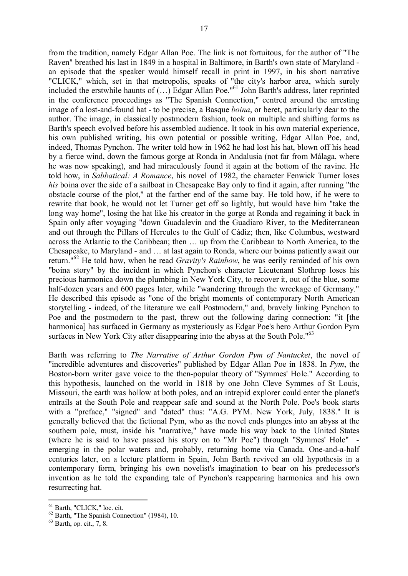from the tradition, namely Edgar Allan Poe. The link is not fortuitous, for the author of "The Raven" breathed his last in 1849 in a hospital in Baltimore, in Barth's own state of Maryland an episode that the speaker would himself recall in print in 1997, in his short narrative "CLICK," which, set in that metropolis, speaks of "the city's harbor area, which surely included the erstwhile haunts of (…) Edgar Allan Poe."<sup>61</sup> John Barth's address, later reprinted in the conference proceedings as "The Spanish Connection," centred around the arresting image of a lost-and-found hat - to be precise, a Basque *boina*, or beret, particularly dear to the author. The image, in classically postmodern fashion, took on multiple and shifting forms as Barth's speech evolved before his assembled audience. It took in his own material experience, his own published writing, his own potential or possible writing, Edgar Allan Poe, and, indeed, Thomas Pynchon. The writer told how in 1962 he had lost his hat, blown off his head by a fierce wind, down the famous gorge at Ronda in Andalusia (not far from Málaga, where he was now speaking), and had miraculously found it again at the bottom of the ravine. He told how, in *Sabbatical: A Romance*, his novel of 1982, the character Fenwick Turner loses *his* boina over the side of a sailboat in Chesapeake Bay only to find it again, after running "the obstacle course of the plot," at the farther end of the same bay. He told how, if he were to rewrite that book, he would not let Turner get off so lightly, but would have him "take the long way home", losing the hat like his creator in the gorge at Ronda and regaining it back in Spain only after voyaging "down Guadalevín and the Guadiaro River, to the Mediterranean and out through the Pillars of Hercules to the Gulf of Cádiz; then, like Columbus, westward across the Atlantic to the Caribbean; then … up from the Caribbean to North America, to the Chesapeake, to Maryland - and … at last again to Ronda, where our boinas patiently await our return."<sup>62</sup> He told how, when he read *Gravity's Rainbow*, he was eerily reminded of his own "boina story" by the incident in which Pynchon's character Lieutenant Slothrop loses his precious harmonica down the plumbing in New York City, to recover it, out of the blue, some half-dozen years and 600 pages later, while "wandering through the wreckage of Germany." He described this episode as "one of the bright moments of contemporary North American storytelling - indeed, of the literature we call Postmodern," and, bravely linking Pynchon to Poe and the postmodern to the past, threw out the following daring connection: "it [the harmonica] has surfaced in Germany as mysteriously as Edgar Poe's hero Arthur Gordon Pym surfaces in New York City after disappearing into the abyss at the South Pole."<sup>63</sup>

Barth was referring to *The Narrative of Arthur Gordon Pym of Nantucket*, the novel of "incredible adventures and discoveries" published by Edgar Allan Poe in 1838. In *Pym*, the Boston-born writer gave voice to the then-popular theory of "Symmes' Hole." According to this hypothesis, launched on the world in 1818 by one John Cleve Symmes of St Louis, Missouri, the earth was hollow at both poles, and an intrepid explorer could enter the planet's entrails at the South Pole and reappear safe and sound at the North Pole. Poe's book starts with a "preface," "signed" and "dated" thus: "A.G. PYM. New York, July, 1838." It is generally believed that the fictional Pym, who as the novel ends plunges into an abyss at the southern pole, must, inside his "narrative," have made his way back to the United States (where he is said to have passed his story on to "Mr Poe") through "Symmes' Hole" emerging in the polar waters and, probably, returning home via Canada. One-and-a-half centuries later, on a lecture platform in Spain, John Barth revived an old hypothesis in a contemporary form, bringing his own novelist's imagination to bear on his predecessor's invention as he told the expanding tale of Pynchon's reappearing harmonica and his own resurrecting hat.

<sup>61</sup> Barth, "CLICK," loc. cit.

<sup>&</sup>lt;sup>62</sup> Barth, "The Spanish Connection" (1984), 10.

 $63$  Barth, op. cit., 7, 8.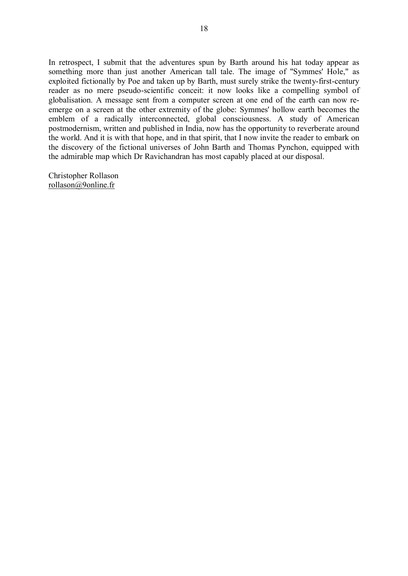In retrospect, I submit that the adventures spun by Barth around his hat today appear as something more than just another American tall tale. The image of "Symmes' Hole," as exploited fictionally by Poe and taken up by Barth, must surely strike the twenty-first-century reader as no mere pseudo-scientific conceit: it now looks like a compelling symbol of globalisation. A message sent from a computer screen at one end of the earth can now reemerge on a screen at the other extremity of the globe: Symmes' hollow earth becomes the emblem of a radically interconnected, global consciousness. A study of American postmodernism, written and published in India, now has the opportunity to reverberate around the world. And it is with that hope, and in that spirit, that I now invite the reader to embark on the discovery of the fictional universes of John Barth and Thomas Pynchon, equipped with the admirable map which Dr Ravichandran has most capably placed at our disposal.

Christopher Rollason rollason@9online.fr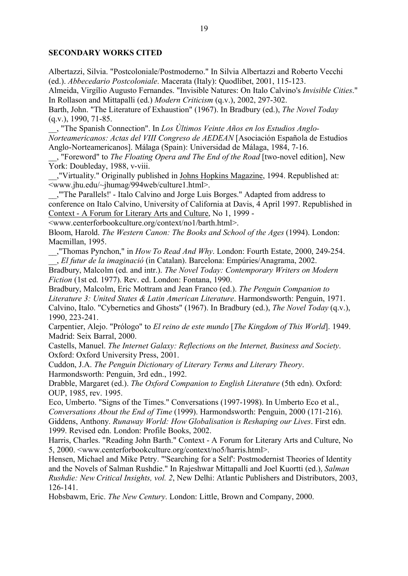# **SECONDARY WORKS CITED**

Albertazzi, Silvia. "Postcoloniale/Postmoderno." In Silvia Albertazzi and Roberto Vecchi (ed.). *Abbecedario Postcoloniale*. Macerata (Italy): Quodlibet, 2001, 115-123.

Almeida, Virgílio Augusto Fernandes. "Invisible Natures: On Italo Calvino's *Invisible Cities*." In Rollason and Mittapalli (ed.) *Modern Criticism* (q.v.), 2002, 297-302.

Barth, John. "The Literature of Exhaustion" (1967). In Bradbury (ed.), *The Novel Today* (q.v.), 1990, 71-85.

\_\_, "The Spanish Connection". In *Los Ùltimos Veinte Años en los Estudios Anglo-Norteamericanos: Actas del VIII Congreso de AEDEAN* [Asociación Española de Estudios Anglo-Norteamericanos]. Málaga (Spain): Universidad de Málaga, 1984, 7-16.

\_\_, "Foreword" to *The Floating Opera and The End of the Road* [two-novel edition], New York: Doubleday, 1988, v-viii.

\_\_,"Virtuality." Originally published in Johns Hopkins Magazine, 1994. Republished at: <www.jhu.edu/~jhumag/994web/culture1.html>.

\_\_,"'The Parallels!' - Italo Calvino and Jorge Luis Borges." Adapted from address to conference on Italo Calvino, University of California at Davis, 4 April 1997. Republished in Context - A Forum for Literary Arts and Culture, No 1, 1999 -

<www.centerforbookculture.org/context/no1/barth.html>.

Bloom, Harold. *The Western Canon: The Books and School of the Ages* (1994). London: Macmillan, 1995.

\_\_,"Thomas Pynchon," in *How To Read And Why*. London: Fourth Estate, 2000, 249-254. \_\_, *El futur de la imaginació* (in Catalan). Barcelona: Empúries/Anagrama, 2002.

Bradbury, Malcolm (ed. and intr.). *The Novel Today: Contemporary Writers on Modern Fiction* (1st ed. 1977). Rev. ed. London: Fontana, 1990.

Bradbury, Malcolm, Eric Mottram and Jean Franco (ed.). *The Penguin Companion to Literature 3: United States & Latin American Literature*. Harmondsworth: Penguin, 1971. Calvino, Italo. "Cybernetics and Ghosts" (1967). In Bradbury (ed.), *The Novel Today* (q.v.), 1990, 223-241.

Carpentier, Alejo. "Prólogo" to *El reino de este mundo* [*The Kingdom of This World*]. 1949. Madrid: Seix Barral, 2000.

Castells, Manuel. *The Internet Galaxy: Reflections on the Internet, Business and Society*. Oxford: Oxford University Press, 2001.

Cuddon, J.A. *The Penguin Dictionary of Literary Terms and Literary Theory*. Harmondsworth: Penguin, 3rd edn., 1992.

Drabble, Margaret (ed.). *The Oxford Companion to English Literature* (5th edn). Oxford: OUP, 1985, rev. 1995.

Eco, Umberto. "Signs of the Times." Conversations (1997-1998). In Umberto Eco et al., *Conversations About the End of Time* (1999). Harmondsworth: Penguin, 2000 (171-216). Giddens, Anthony. *Runaway World: How Globalisation is Reshaping our Lives*. First edn. 1999. Revised edn. London: Profile Books, 2002.

Harris, Charles. "Reading John Barth." Context - A Forum for Literary Arts and Culture, No 5, 2000. <www.centerforbookculture.org/context/no5/harris.html>.

Hensen, Michael and Mike Petry. "'Searching for a Self': Postmodernist Theories of Identity and the Novels of Salman Rushdie." In Rajeshwar Mittapalli and Joel Kuortti (ed.), *Salman Rushdie: New Critical Insights, vol. 2*, New Delhi: Atlantic Publishers and Distributors, 2003, 126-141.

Hobsbawm, Eric. *The New Century*. London: Little, Brown and Company, 2000.